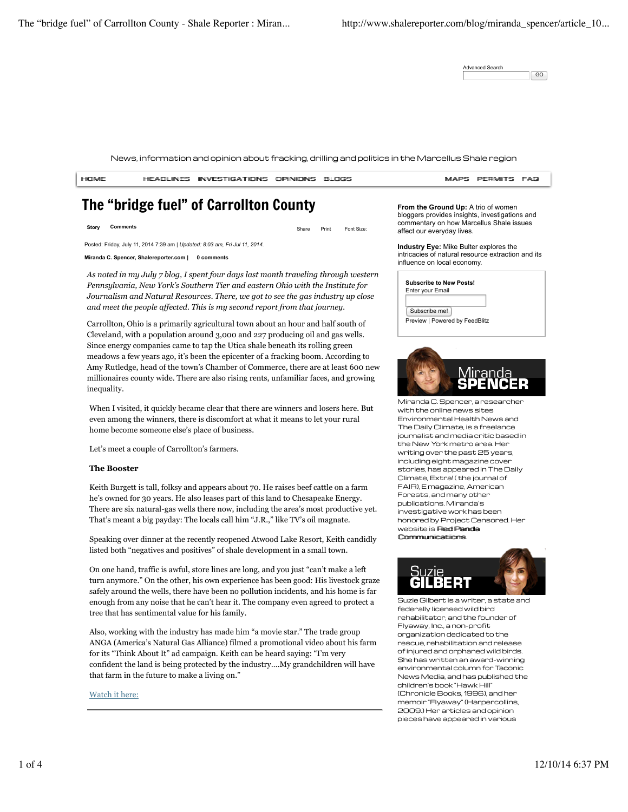Advanced Search GO

News, information and opinion about fracking, drilling and politics in the Marcellus Shale region

| HIOME                                                                         |  | HEADLINES INVESTIGATIONS OPINIONS BLOGS |  |  |  | MAPS PERMITS FAQ |  |
|-------------------------------------------------------------------------------|--|-----------------------------------------|--|--|--|------------------|--|
| The "bridge fuel" of Carrollton County<br>From the Ground Up: A trio of women |  |                                         |  |  |  |                  |  |

**Story Comments Comments Comments Share** Print Font Size:

Posted: Friday, July 11, 2014 7:39 am | *Updated: 8:03 am, Fri Jul 11, 2014.*

**Miranda C. Spencer, Shalereporter.com | 0 comments**

*As noted in my July 7 blog, I spent four days last month traveling through western Pennsylvania, New York's Southern Tier and eastern Ohio with the Institute for Journalism and Natural Resources. There, we got to see the gas industry up close and meet the people affected. This is my second report from that journey.*

Carrollton, Ohio is a primarily agricultural town about an hour and half south of Cleveland, with a population around 3,000 and 227 producing oil and gas wells. Since energy companies came to tap the Utica shale beneath its rolling green meadows a few years ago, it's been the epicenter of a fracking boom. According to Amy Rutledge, head of the town's Chamber of Commerce, there are at least 600 new millionaires county wide. There are also rising rents, unfamiliar faces, and growing inequality.

When I visited, it quickly became clear that there are winners and losers here. But even among the winners, there is discomfort at what it means to let your rural home become someone else's place of business.

Let's meet a couple of Carrollton's farmers.

## **The Booster**

Keith Burgett is tall, folksy and appears about 70. He raises beef cattle on a farm he's owned for 30 years. He also leases part of this land to Chesapeake Energy. There are six natural-gas wells there now, including the area's most productive yet. That's meant a big payday: The locals call him "J.R.," like TV's oil magnate.

Speaking over dinner at the recently reopened Atwood Lake Resort, Keith candidly listed both "negatives and positives" of shale development in a small town.

On one hand, traffic is awful, store lines are long, and you just "can't make a left turn anymore." On the other, his own experience has been good: His livestock graze safely around the wells, there have been no pollution incidents, and his home is far enough from any noise that he can't hear it. The company even agreed to protect a tree that has sentimental value for his family.

Also, working with the industry has made him "a movie star." The trade group ANGA (America's Natural Gas Alliance) filmed a promotional video about his farm for its "Think About It" ad campaign. Keith can be heard saying: "I'm very confident the land is being protected by the industry….My grandchildren will have that farm in the future to make a living on."

## Watch it here:

bloggers provides insights, investigations and commentary on how Marcellus Shale issues affect our everyday lives.

**Industry Eye:** Mike Bulter explores the intricacies of natural resource extraction and its influence on local economy.



Miranda C. Spencer, a researcher with the online news sites Environmental Health News and The Daily Climate, is a freelance journalist and media critic based in the New York metro area. Her writing over the past 25 years, including eight magazine cover stories, has appeared in The Daily Climate, Extra! ( the journal of FAIR), E magazine, American Forests, and many other publications. Miranda's investigative work has been honored by Project Censored. Her website is **Red Panda** CCoommmmuunniiccaattiioonnss.



Suzie Gilbert is a writer, a state and federally licensed wild bird rehabilitator, and the founder of Flyaway, Inc., a non-profit organization dedicated to the rescue, rehabilitation and release of injured and orphaned wild birds. She has written an award-winning environmental column for Taconic News Media, and has published the children's book "Hawk Hill" (Chronicle Books, 1996), and her memoir "Flyaway" (Harpercollins, 2009.) Her articles and opinion pieces have appeared in various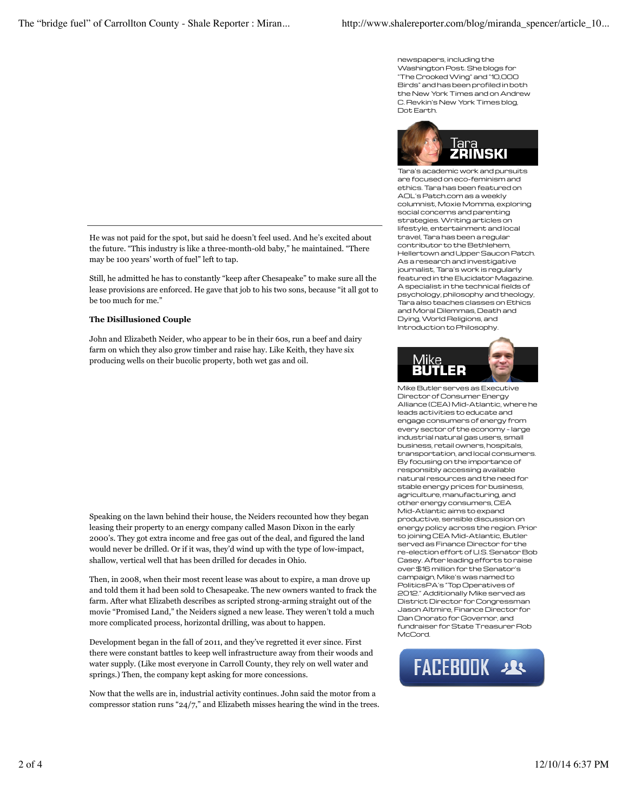newspapers, including the Washington Post. She blogs for "The Crooked Wing" and "10,000 Birds" and has been profiled in both the New York Times and on Andrew C. Revkin's New York Times blog, Dot Earth.



Tara's academic work and pursuits are focused on eco-feminism and ethics. Tara has been featured on AOL's Patch.com as a weekly columnist, Moxie Momma, exploring social concerns and parenting strategies. Writing articles on lifestyle, entertainment and local travel, Tara has been a regular contributor to the Bethlehem, Hellertown and Upper Saucon Patch. As a research and investigative journalist, Tara's work is regularly featured in the Elucidator Magazine. A specialist in the technical fields of psychology, philosophy and theology, Tara also teaches classes on Ethics and Moral Dilemmas, Death and Dying, World Religions, and Introduction to Philosophy.



Mike Butler serves as Executive Director of Consumer Energy Alliance (CEA) Mid-Atlantic, where he leads activities to educate and engage consumers of energy from every sector of the economy – large industrial natural gas users, small business, retail owners, hospitals, transportation, and local consumers. By focusing on the importance of responsibly accessing available natural resources and the need for stable energy prices for business, agriculture, manufacturing, and other energy consumers, CEA Mid-Atlantic aims to expand productive, sensible discussion on energy policy across the region. Prior to joining CEA Mid-Atlantic, Butler served as Finance Director for the re-election effort of U.S. Senator Bob Casey. After leading efforts to raise over \$16 million for the Senator's campaign, Mike's was named to PoliticsPA's "Top Operatives of 2012." Additionally Mike served as District Director for Congressman Jason Altmire, Finance Director for Dan Onorato for Governor, and fundraiser for State Treasurer Rob McCord.



He was not paid for the spot, but said he doesn't feel used. And he's excited about the future. "This industry is like a three-month-old baby," he maintained. "There may be 100 years' worth of fuel" left to tap.

Still, he admitted he has to constantly "keep after Chesapeake" to make sure all the lease provisions are enforced. He gave that job to his two sons, because "it all got to be too much for me."

## **The Disillusioned Couple**

John and Elizabeth Neider, who appear to be in their 60s, run a beef and dairy farm on which they also grow timber and raise hay. Like Keith, they have six producing wells on their bucolic property, both wet gas and oil.

Speaking on the lawn behind their house, the Neiders recounted how they began leasing their property to an energy company called Mason Dixon in the early 2000's. They got extra income and free gas out of the deal, and figured the land would never be drilled. Or if it was, they'd wind up with the type of low-impact, shallow, vertical well that has been drilled for decades in Ohio.

Then, in 2008, when their most recent lease was about to expire, a man drove up and told them it had been sold to Chesapeake. The new owners wanted to frack the farm. After what Elizabeth describes as scripted strong-arming straight out of the movie "Promised Land," the Neiders signed a new lease. They weren't told a much more complicated process, horizontal drilling, was about to happen.

Development began in the fall of 2011, and they've regretted it ever since. First there were constant battles to keep well infrastructure away from their woods and water supply. (Like most everyone in Carroll County, they rely on well water and springs.) Then, the company kept asking for more concessions.

Now that the wells are in, industrial activity continues. John said the motor from a compressor station runs "24/7," and Elizabeth misses hearing the wind in the trees.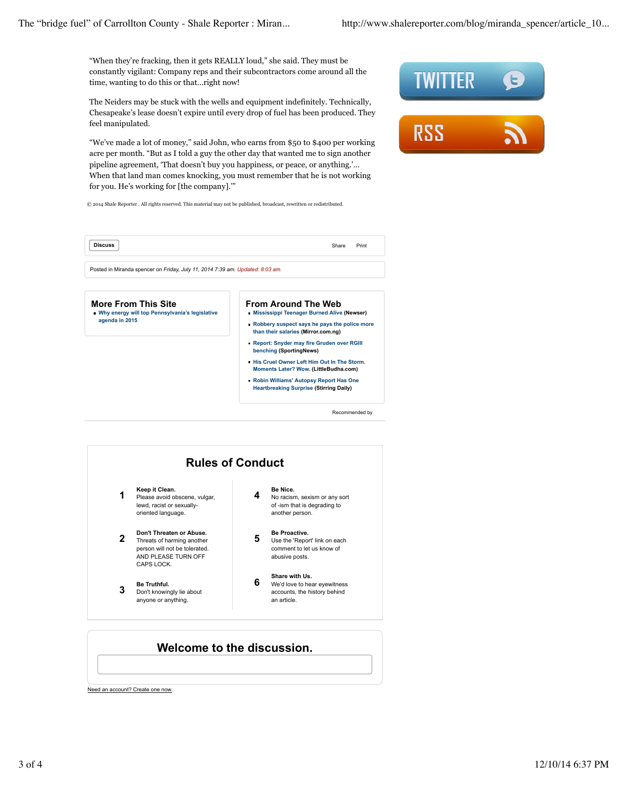"When they're fracking, then it gets REALLY loud," she said. They must be constantly vigilant: Company reps and their subcontractors come around all the time, wanting to do this or that…right now!

The Neiders may be stuck with the wells and equipment indefinitely. Technically, Chesapeake's lease doesn't expire until every drop of fuel has been produced. They feel manipulated.

"We've made a lot of money," said John, who earns from \$50 to \$400 per working acre per month. "But as I told a guy the other day that wanted me to sign another pipeline agreement, 'That doesn't buy you happiness, or peace, or anything.'… When that land man comes knocking, you must remember that he is not working for you. He's working for [the company].'"

© 2014 Shale Reporter . All rights reserved. This material may not be published, broadcast, rewritten or redistributed.



**Discuss** Print **More From This Site Why energy will top Pennsylvania's legislative agenda in 2015 From Around The Web Mississippi Teenager Burned Alive (Newser) Robbery suspect says he pays the police more than their salaries (Mirror.com.ng) Report: Snyder may fire Gruden over RGIII benching (SportingNews) His Cruel Owner Left Him Out In The Storm. Moments Later? Wow. (LittleBudha.com) Robin Williams' Autopsy Report Has One Heartbreaking Surprise (Stirring Daily)** Posted in Miranda spencer on *Friday, July 11, 2014 7:39 am. Updated: 8:03 am.* Recommended by



Need an account? Create one now.